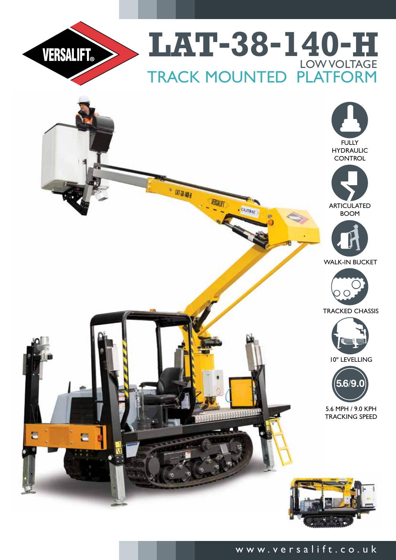



# www.versalift.co.uk